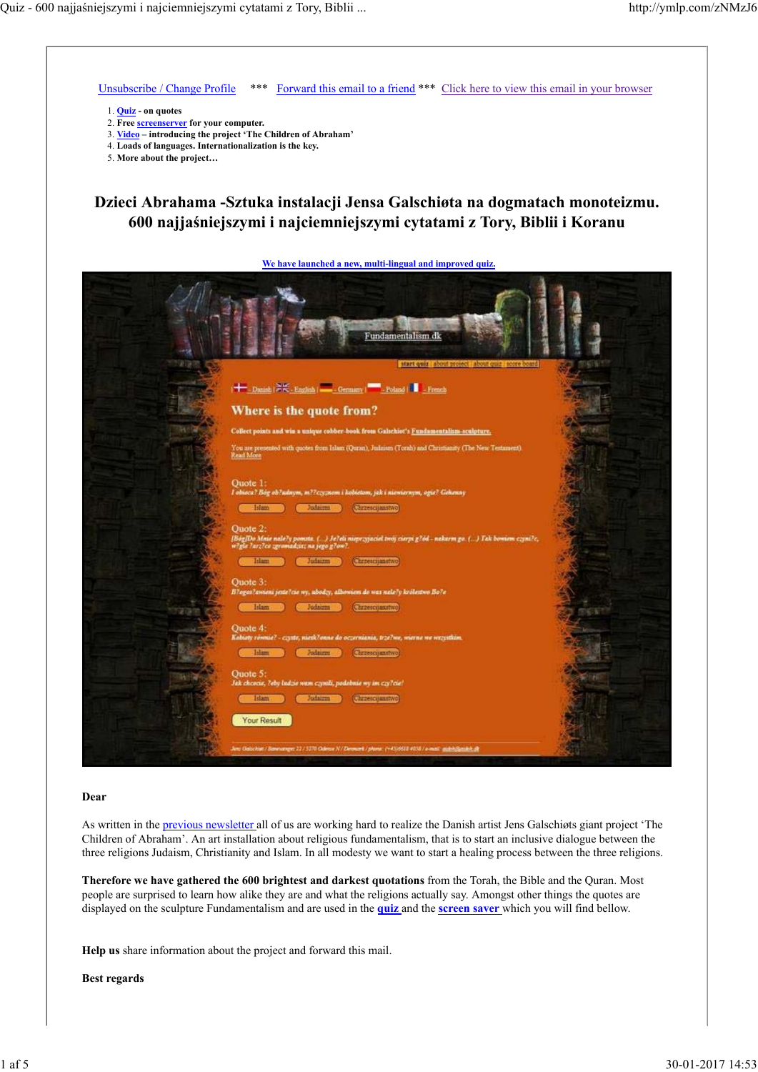

#### **Dear**

As written in the previous newsletter all of us are working hard to realize the Danish artist Jens Galschiøts giant project 'The Children of Abraham'. An art installation about religious fundamentalism, that is to start an inclusive dialogue between the three religions Judaism, Christianity and Islam. In all modesty we want to start a healing process between the three religions.

**Therefore we have gathered the 600 brightest and darkest quotations** from the Torah, the Bible and the Quran. Most people are surprised to learn how alike they are and what the religions actually say. Amongst other things the quotes are displayed on the sculpture Fundamentalism and are used in the **quiz** and the **screen saver** which you will find bellow.

**Help us** share information about the project and forward this mail.

**Best regards**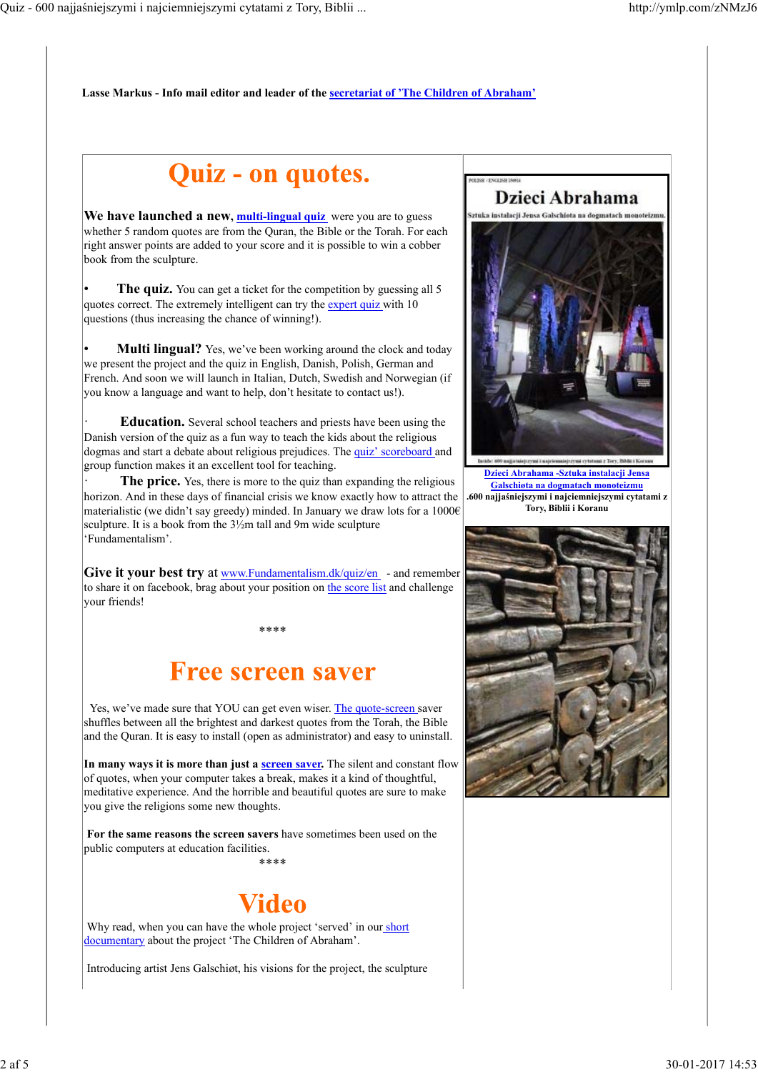**Lasse Markus - Info mail editor and leader of the secretariat of 'The Children of Abraham'**

# **Quiz - on quotes.**

We have launched a new, multi-lingual quiz were you are to guess whether 5 random quotes are from the Ouran, the Bible or the Torah. For each right answer points are added to your score and it is possible to win a cobber book from the sculpture.

**The quiz.** You can get a ticket for the competition by guessing all 5 quotes correct. The extremely intelligent can try the expert quiz with 10 questions (thus increasing the chance of winning!).

**Multi lingual?** Yes, we've been working around the clock and today we present the project and the quiz in English, Danish, Polish, German and French. And soon we will launch in Italian, Dutch, Swedish and Norwegian (if you know a language and want to help, don't hesitate to contact us!).

· **Education.** Several school teachers and priests have been using the Danish version of the quiz as a fun way to teach the kids about the religious dogmas and start a debate about religious prejudices. The quiz' scoreboard and group function makes it an excellent tool for teaching.

**The price.** Yes, there is more to the quiz than expanding the religious horizon. And in these days of financial crisis we know exactly how to attract the materialistic (we didn't say greedy) minded. In January we draw lots for a 1000€ sculpture. It is a book from the 3½m tall and 9m wide sculpture 'Fundamentalism'.

**Give it your best try** at www.Fundamentalism.dk/quiz/en - and remember to share it on facebook, brag about your position on the score list and challenge your friends!

\*\*\*\*

## **Free screen saver**

 Yes, we've made sure that YOU can get even wiser. The quote-screen saver shuffles between all the brightest and darkest quotes from the Torah, the Bible and the Quran. It is easy to install (open as administrator) and easy to uninstall.

In many ways it is more than just a **screen saver**. The silent and constant flow of quotes, when your computer takes a break, makes it a kind of thoughtful, meditative experience. And the horrible and beautiful quotes are sure to make you give the religions some new thoughts.

**For the same reasons the screen savers** have sometimes been used on the public computers at education facilities. \*\*\*\*

# Video

Why read, when you can have the whole project 'served' in our short documentary about the project 'The Children of Abraham'.

Introducing artist Jens Galschiøt, his visions for the project, the sculpture



FOR FOR JUNIOR IN TRAINING

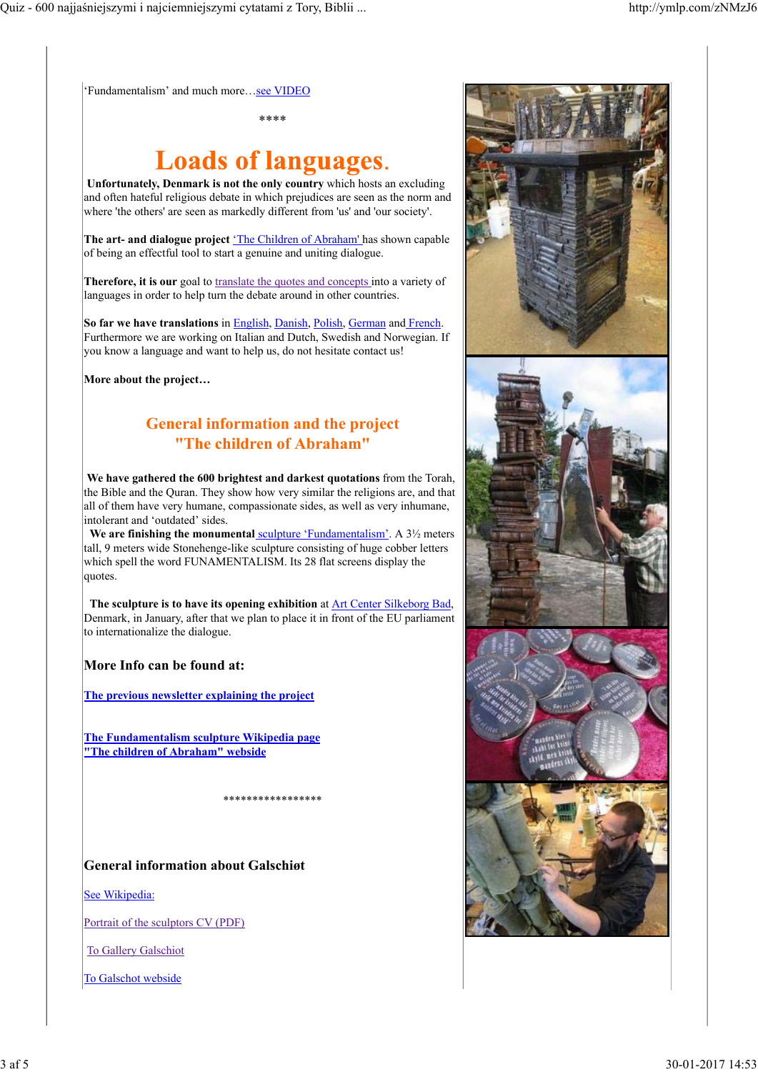'Fundamentalism' and much more...see VIDEO

\*\*\*\*

# **Loads of languages.**

**Unfortunately, Denmark is not the only country** which hosts an excluding and often hateful religious debate in which prejudices are seen as the norm and where 'the others' are seen as markedly different from 'us' and 'our society'.

**The art- and dialogue project** 'The Children of Abraham' has shown capable of being an effectful tool to start a genuine and uniting dialogue.

**Therefore, it is our** goal to translate the quotes and concepts into a variety of languages in order to help turn the debate around in other countries.

**So far we have translations** in English, Danish, Polish, German and French. Furthermore we are working on Italian and Dutch, Swedish and Norwegian. If you know a language and want to help us, do not hesitate contact us!

**More about the project…** 

## **General information and the project "The children of Abraham"**

**We have gathered the 600 brightest and darkest quotations** from the Torah, the Bible and the Quran. They show how very similar the religions are, and that all of them have very humane, compassionate sides, as well as very inhumane, intolerant and 'outdated' sides.

We are finishing the monumental sculpture 'Fundamentalism'. A 3<sup>1</sup>/<sub>2</sub> meters tall, 9 meters wide Stonehenge-like sculpture consisting of huge cobber letters which spell the word FUNAMENTALISM. Its 28 flat screens display the quotes.

 **The sculpture is to have its opening exhibition** at Art Center Silkeborg Bad, Denmark, in January, after that we plan to place it in front of the EU parliament to internationalize the dialogue.

## **More Info can be found at:**

**The previous newsletter explaining the project**

**The Fundamentalism sculpture Wikipedia page "The children of Abraham" webside**

\*\*\*\*\*\*\*\*\*\*\*\*\*\*\*\*\*

**General information about Galschiøt**

See Wikipedia:

Portrait of the sculptors CV (PDF)

To Gallery Galschiot

To Galschot webside

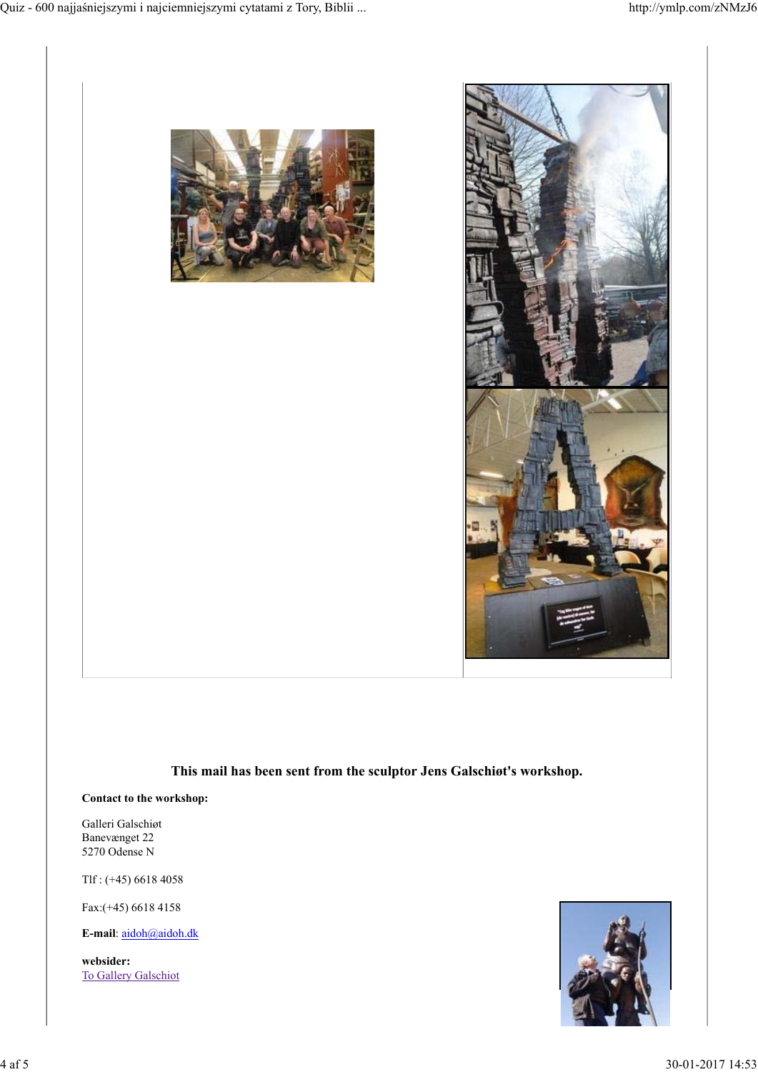



### **This mail has been sent from the sculptor Jens Galschiøt's workshop.**

#### **Contact to the workshop:**

Galleri Galschiøt Banevænget 22 5270 Odense N

Tlf : (+45) 6618 4058

Fax:(+45) 6618 4158

**E-mail**: aidoh@aidoh.dk

**websider:** To Gallery Galschiot